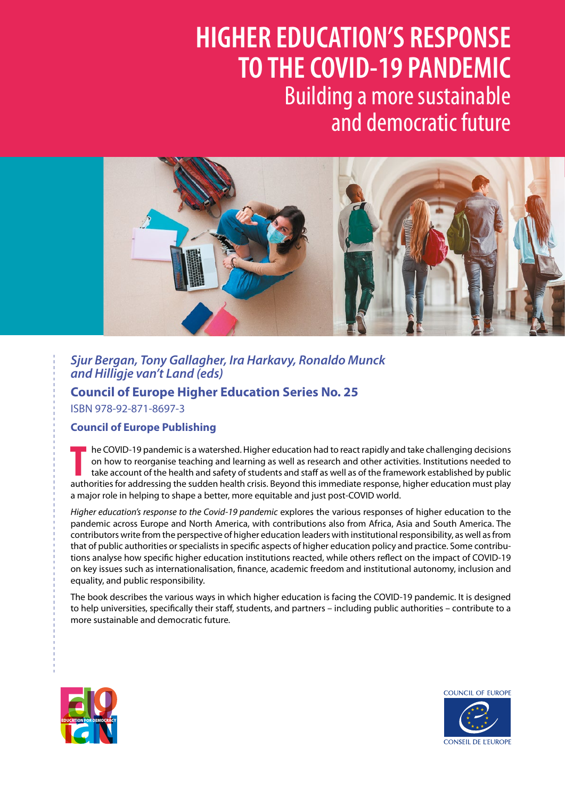# **HIGHER EDUCATION'S RESPONSE TO THE COVID-19 PANDEMIC** Building a more sustainable and democratic future BUCATIONIC BECROMER AIIUN J KEJPUNJE<br>VID 40 DANDEMIC BUCATIONIC DECOGNICE ITIUN 3 NESPUNSE<br>VID 10 DANDEMIC



**Sjur Bergan, Tony Gallagher, Ira Harkavy, Ronaldo Munck** *and Hilligje van't Land (eds)* **Higher Education Council of Europe** 

**Council of Europe Higher Education Series No. 25 Series No. 25 Higher Education**  ISBN 978-92-871-8697-3 **Series No. 25**

## **Council of Europe Publishing**

**ENG**

**ENG**

THE COVID-19 pandemic is a watershed. Higher education had to react rapidly and take challenging decisions on how to reorganise teaching and learning as well as research and other activities. Institutions needed to take ac he COVID-19 pandemic is a watershed. Higher education had to react rapidly and take challenging decisions on how to reorganise teaching and learning as well as research and other activities. Institutions needed to take account of the health and safety of students and staff as well as of the framework established by public a major role in helping to shape a better, more equitable and just post-COVID world.

*Higher education's response to the Covid-19 pandemic* explores the various responses of higher education to the pandemic across Europe and North America, with contributions also from Africa, Asia and South America. The contributors write from the perspective of higher education leaders with institutional responsibility, as well as from that of public authorities or specialists in specific aspects of higher education policy and practice. Some contributions analyse how specific higher education institutions reacted, while others reflect on the impact of COVID-19 on key issues such as internationalisation, finance, academic freedom and institutional autonomy, inclusion and equality, and public responsibility.

The book describes the various ways in which higher education is facing the COVID-19 pandemic. It is designed to help universities, specifically their staff, students, and partners – including public authorities – contribute to a more sustainable and democratic future.